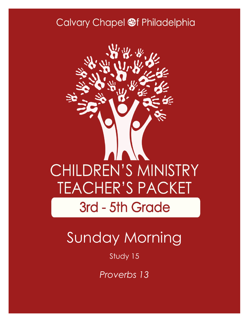### Calvary Chapel @f Philadelphia



# Sunday Morning

Study 15

*Proverbs 13*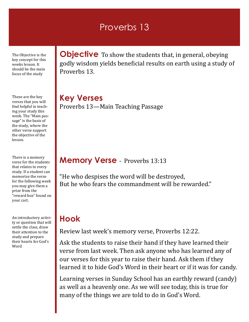### Proverbs 13

The Objective is the key concept for this weeks lesson. It should be the main focus of the study

These are the key verses that you will find helpful in teaching your study this week. The "Main passage" is the basis of the study, where the other verse support the objective of the lesson.

There is a memory verse for the students that relates to every study. If a student can memorize the verse for the following week you may give them a prize from the "reward box" found on your cart.

An introductory activity or question that will settle the class, draw their attention to the study and prepare their hearts for God's Word

**Objective** To show the students that, in general, obeying godly wisdom yields beneficial results on earth using a study of Proverbs 13.

**Key Verses** Proverbs 13—Main Teaching Passage

### **Memory Verse** - Proverbs 13:13

"He who despises the word will be destroyed, But he who fears the commandment will be rewarded."

### **Hook**

Review last week's memory verse, Proverbs 12:22.

Ask the students to raise their hand if they have learned their verse from last week. Then ask anyone who has learned any of our verses for this year to raise their hand. Ask them if they learned it to hide God's Word in their heart or if it was for candy.

Learning verses in Sunday School has an earthly reward (candy) as well as a heavenly one. As we will see today, this is true for many of the things we are told to do in God's Word.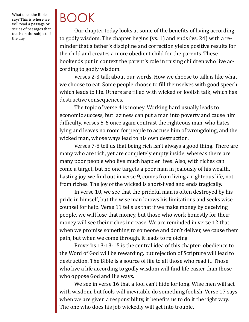What does the Bible say? This is where we will read a passage or series of passages that teach on the subject of the day.

## BOOK

Our chapter today looks at some of the benefits of living according to godly wisdom. The chapter begins (vs. 1) and ends (vs. 24) with a reminder that a father's discipline and correction yields positive results for the child and creates a more obedient child for the parents. These bookends put in context the parent's role in raising children who live according to godly wisdom.

Verses 2-3 talk about our words. How we choose to talk is like what we choose to eat. Some people choose to fill themselves with good speech, which leads to life. Others are filled with wicked or foolish talk, which has destructive consequences.

The topic of verse 4 is money. Working hard usually leads to economic success, but laziness can put a man into poverty and cause him difficulty. Verses 5-6 once again contrast the righteous man, who hates lying and leaves no room for people to accuse him of wrongdoing, and the wicked man, whose ways lead to his own destruction.

Verses 7-8 tell us that being rich isn't always a good thing. There are many who are rich, yet are completely empty inside, whereas there are many poor people who live much happier lives. Also, with riches can come a target, but no one targets a poor man in jealously of his wealth. Lasting joy, we find out in verse 9, comes from living a righteous life, not from riches. The joy of the wicked is short-lived and ends tragically.

In verse 10, we see that the prideful man is often destroyed by his pride in himself, but the wise man knows his limitations and seeks wise counsel for help. Verse 11 tells us that if we make money by deceiving people, we will lose that money, but those who work honestly for their money will see their riches increase. We are reminded in verse 12 that when we promise something to someone and don't deliver, we cause them pain, but when we come through, it leads to rejoicing.

Proverbs 13:13-15 is the central idea of this chapter: obedience to the Word of God will be rewarding, but rejection of Scripture will lead to destruction. The Bible is a source of life to all those who read it. Those who live a life according to godly wisdom will find life easier than those who oppose God and His ways.

We see in verse 16 that a fool can't hide for long. Wise men will act with wisdom, but fools will inevitable do something foolish. Verse 17 says when we are given a responsibility, it benefits us to do it the right way. The one who does his job wickedly will get into trouble.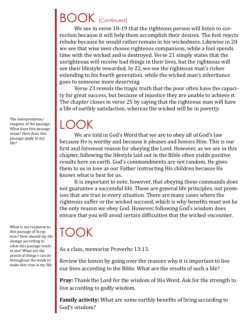## BOOK (Continued)

We see in verse 18-19 that the righteous person will listen to correction because it will help them accomplish their desires. The fool rejects rebuke because he would rather remain in his wickedness. Likewise in 20 we see that wise men choose righteous companions, while a fool spends time with the wicked and is destroyed. Verse 21 simply states that the unrighteous will receive bad things in their lives, but the righteous will see their lifestyle rewarded. In 22, we see the righteous man's riches extending to his fourth generation, while the wicked man's inheritance goes to someone more deserving.

Verse 23 reveals the tragic truth that the poor often have the capacity for great success, but because of injustice they are unable to achieve it. The chapter closes in verse 25 by saying that the righteous man will have a life of earthly satisfaction, whereas the wicked will be in poverty.

The interpretation/ exegesis of the passage. What does this passage mean? How does this passage apply to my life?

What is my response to this passage of Scripture? How should my life change according to what this passage teaches me? What are the practical things I can do throughout the week to make this true in my life.

## $\mathsf{L}(\mathsf{C})$

We are told in God's Word that we are to obey all of God's law because He is worthy and because it pleases and honors Him. This is our first and foremost reason for obeying the Lord. However, as we see in this chapter, following the lifestyle laid out in the Bible often yields positive results here on earth. God's commandments are not random. He gives them to us in love as our Father instructing His children because He knows what is best for us.

It is important to note, however, that obeying these commands does not guarantee a successful life. These are general life principles, not promises that are true in every situation. There are many cases where the righteous suffer or the wicked succeed, which is why benefits must not be the only reason we obey God. However, following God's wisdom does ensure that you will avoid certain difficulties that the wicked encounter.

## TOOK

As a class, memorize Proverbs 13:13.

Review the lesson by going over the reasons why it is important to live our lives according to the Bible. What are the results of such a life?

**Pray:** Thank the Lord for the wisdom of His Word. Ask for the strength to live according to godly wisdom.

**Family activity:** What are some earthly benefits of living according to God's wisdom?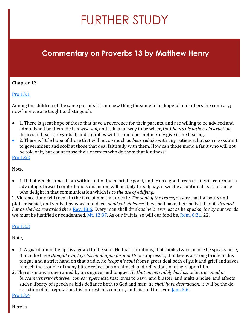## FURTHER STUDY

### **Commentary on Proverbs 13 by Matthew Henry**

#### **Chapter 13**

#### [Pro 13:1](https://www.blueletterbible.org/kjv/proverbs/13/1/s_641001)

Among the children of the same parents it is no new thing for some to be hopeful and others the contrary; now here we are taught to distinguish.

- 1. There is great hope of those that have a reverence for their parents, and are willing to be advised and admonished by them. He is *a wise son,* and is in a far way to be wiser, that *hears his father's instruction,* desires to hear it, regards it, and complies with it, and does not merely give it the hearing.
- 2. There is little hope of those that will not so much as *hear rebuke* with any patience, but scorn to submit to government and scoff at those that deal faithfully with them. How can those mend a fault who will not be told of it, but count those their enemies who do them that kindness? [Pro 13:2](https://www.blueletterbible.org/kjv/proverbs/13/2/s_641002)

#### Note,

 1. If that which comes from within, out of the heart, be good, and from a good treasure, it will return with advantage. Inward comfort and satisfaction will be daily bread; nay, it will be a continual feast to those who delight in that communication which is *to the use of edifying.*

2. Violence done will recoil in the face of him that does it: *The soul of the transgressors* that harbours and plots mischief, and vents it by word and deed, *shall eat violence;* they shall have their belly full of it. *Reward her as she has rewarded thee,* [Rev. 18:6.](https://www.blueletterbible.org/kjv/revelation/18/6/s_1185006) Every man shall drink as he brews, eat as he speaks; for by our words we must be justified or condemned, [Mt. 12:37.](https://www.blueletterbible.org/kjv/matthew/12/37/s_941037) As our fruit is, so will our food be, [Rom. 6:21,](https://www.blueletterbible.org/kjv/romans/6/21/s_1052021) 22[.](https://www.blueletterbible.org/kjv/proverbs/13/3/s_641003)

#### [Pro 13:3](https://www.blueletterbible.org/kjv/proverbs/13/3/s_641003)

Note,

- 1. A guard upon the lips is a guard to the soul. He that is cautious, that thinks twice before he speaks once, that, if he have *thought evil, lays his hand upon his mouth* to suppress it, that keeps a strong bridle on his tongue and a strict hand on that bridle, he *keeps his soul* from a great deal both of guilt and grief and saves himself the trouble of many bitter reflections on himself and reflections of others upon him.
- 2. There is many a one ruined by an ungoverned tongue: *He that opens widely his lips,* to let our *quod in buccam venerit-whatever comes uppermost,* that loves to bawl, and bluster, and make a noise, and affects such a liberty of speech as bids defiance both to God and man, he *shall have destruction.* it will be the destruction of his reputation, his interest, his comfort, and his soul for ever, <u>Jam. 3:6</u>.

[Pro 13:4](https://www.blueletterbible.org/kjv/proverbs/13/4/s_641004)

Here is,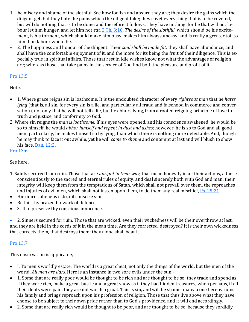- 1. The misery and shame of the slothful. See how foolish and absurd they are; they desire the gains which the diligent get, but they hate the pains which the diligent take; they covet every thing that is to be coveted, but will do nothing that is to be done; and therefore it follows, They have nothing; for he that will not labour let him hunger, and let him not *eat,* [2 Th. 3:10.](https://www.blueletterbible.org/kjv/2thessalonians/3/10/s_1119010) *The desire of the slothful,* which should be his excitement, is his torment, which should make him busy, makes him always uneasy, and is really a greater toil to him than labour would be.
- 2. The happiness and honour of the diligent: Their *soul shall be made fat;* they shall have abundance, and shall have the comfortable enjoyment of it, and the more for its being the fruit of their diligence. This is especially true in spiritual affairs. Those that rest in idle wishes know not what the advantages of religion are; whereas those that take pains in the service of God find both the pleasure and profit of it[.](https://www.blueletterbible.org/kjv/proverbs/13/5/s_641005)

#### [Pro 13:5](https://www.blueletterbible.org/kjv/proverbs/13/5/s_641005)

Note,

- 1. Where grace reigns sin is loathsome. It is the undoubted character of every *righteous man* that he *hates lying* (that is, all sin, for every sin is a lie, and particularly all fraud and falsehood in commerce and conversation), not only that he will not tell a lie, but he abhors lying, from a rooted reigning principle of love to truth and justice, and conformity to God.
- 2. Where sin reigns the *man is loathsome.* If his eyes were opened, and his conscience awakened, he would be so to himself, he would *abhor himself and repent in dust and ashes;* however, he is so to God and all good men; particularly, he makes himself so by lying, than which there is nothing more detestable. And, though he may think to face it out awhile, yet he will *come to shame* and contempt at last and will blush to show his face, [Dan. 12:2.](https://www.blueletterbible.org/kjv/daniel/12/2/s_862002)

#### [Pro 13:6](https://www.blueletterbible.org/kjv/proverbs/13/6/s_641006)

#### See here,

- 1. Saints secured from ruin. Those that are *upright in their way,* that mean honestly in all their actions, adhere conscientiously to the sacred and eternal rules of equity, and deal sincerely both with God and man, their integrity will keep them from the temptations of Satan, which shall not prevail over them, the reproaches and injuries of evil men, which shall not fasten upon them, to do them any real mischief, [Ps. 25:21.](https://www.blueletterbible.org/kjv/psalms/25/21/s_503021)
- Hic murus aheneus esto, nil conscire sibi.
- Be this thy brazen bulwark of defence,
- Still to preserve thy conscious innocence.

 2. Sinners secured for ruin. Those that are wicked, even their wickedness will be their overthrow at last, and they are held in the cords of it in the mean time. Are they corrected, destroyed? It is their own wickedness that corrects them, that destroys them; they alone shall bear it.

#### [Pro 13:7](https://www.blueletterbible.org/kjv/proverbs/13/7/s_641007)

This observation is applicable,

- I. To men's worldly estate. The world is a great cheat, not only the things of the world, but the men of the world. *All men are liars.* Here is an instance in two sore evils under the sun:-
- 1. Some that are really poor would be thought to be rich and are thought to be so; they trade and spend as if they were rich, make a great bustle and a great show as if they had hidden treasures, when perhaps, if all their debts were paid, they are not worth a groat. This is sin, and will be shame; many a one hereby ruins his family and brings reproach upon his profession of religion. Those that thus live above what they have choose to be subject to their own pride rather than to God's providence, and it will end accordingly.
- 2. Some that are really rich would be thought to be poor, and are thought to be so, because they sordidly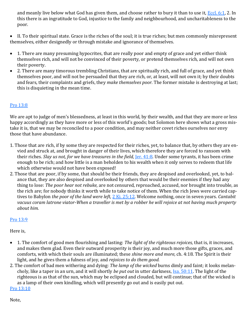and meanly live below what God has given them, and choose rather to bury it than to use it, **Eccl. 6:1**, 2. In this there is an ingratitude to God, injustice to the family and neighbourhood, and uncharitableness to the poor.

 II. To their spiritual state. Grace is the riches of the soul; it is true riches; but men commonly misrepresent themselves, either designedly or through mistake and ignorance of themselves.

- 1. There are many presuming hypocrites, that are really poor and empty of grace and yet either think themselves rich, and will not be convinced of their poverty, or pretend themselves rich, and will not own their poverty.
- 2. There are many timorous trembling Christians, that are spiritually rich, and full of grace, and yet think themselves poor, and will not be persuaded that they are rich, or, at least, will not own it; by their doubts and fears, their complaints and griefs, they *make themselves poor.* The former mistake is destroying at last; this is disquieting in the mean time.

#### [Pro 13:8](https://www.blueletterbible.org/kjv/proverbs/13/8/s_641008)

We are apt to judge of men's blessedness, at least in this world, by their wealth, and that they are more or less happy accordingly as they have more or less of this world's goods; but Solomon here shows what a gross mistake it is, that we may be reconciled to a poor condition, and may neither covet riches ourselves nor envy those that have abundance.

- 1. Those that are rich, if by some they are respected for their riches, yet, to balance that, by others they are envied and struck at, and brought in danger of their lives, which therefore they are forced to ransom with their riches. *Slay us not, for we have treasures in the field,* [Jer. 41:8.](https://www.blueletterbible.org/kjv/jeremiah/41/8/s_786008) Under some tyrants, it has been crime enough to be rich; and how little is a man beholden to his wealth when it only serves to redeem that life which otherwise would not have been exposed!
- 2. Those that are poor, if by some, that should be their friends, they are despised and overlooked, yet, to balance that, they are also despised and overlooked by others that would be their enemies if they had any thing to lose: *The poor hear not rebuke,* are not censured, reproached, accused, nor brought into trouble, as the rich are; for nobody thinks it worth while to take notice of them. When the rich Jews were carried captives to Babylon *the poor of the land were left,* [2 Ki. 25:12.](https://www.blueletterbible.org/kjv/2kings/25/12/s_338012) Welcome nothing, once in seven years. *Cantabit vacuus coram latrone viator*-*When a traveller is met by a robber he will rejoice at not having much property about him.*

#### [Pro 13:9](https://www.blueletterbible.org/kjv/proverbs/13/9/s_641009)

Here is,

- 1. The comfort of good men flourishing and lasting: *The light of the righteous rejoices,* that is, it increases, and makes them glad. Even their outward prosperity is their joy, and much more those gifts, graces, and comforts, with which their souls are illuminated; these *shine more and more,* ch. 4:18. The Spirit is their light, and he gives them a fulness of joy, and *rejoices to do them good.*
- 2. The comfort of bad men withering and dying: *The lamp of the wicked* burns dimly and faint; it looks melancholy, like a taper in an urn, and it will shortly *be put out* in utter darkness, [Isa. 50:11.](https://www.blueletterbible.org/kjv/isaiah/50/11/s_729011) The light of the righteous is as that of the sun, which may be eclipsed and clouded, but will continue; that of the wicked is as a lamp of their own kindling, which will presently go out and is easily put out.

[Pro 13:10](https://www.blueletterbible.org/kjv/proverbs/13/10/s_641010)

Note,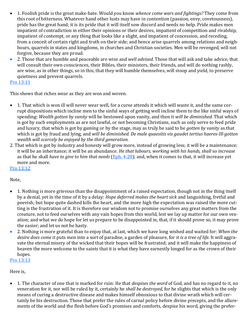- 1. Foolish pride is the great make-bate. Would you know *whence come wars and fightings?* They come from this root of bitterness. Whatever hand other lusts may have in contention (passion, envy, covetousness), pride has the great hand; it is its pride that it will itself sow discord and needs no help. Pride makes men impatient of contradiction in either their opinions or their desires, impatient of competition and rivalship, impatient of contempt, or any thing that looks like a slight, and impatient of concession, and receding, from a conceit of certain right and truth on their side; and hence arise quarrels among relations and neighbours, quarrels in states and kingdoms, in churches and Christian societies. Men will be revenged, will not forgive, because they are proud.
- 2. Those that are humble and peaceable are wise and *well advised.* Those that will ask and take advice, that will consult their own consciences, their Bibles, their ministers, their friends, and will do nothing rashly, are wise, as in other things, so in this, that they will humble themselves, will stoop and yield, to preserve quietness and prevent quarrels.

#### [Pro 13:11](https://www.blueletterbible.org/kjv/proverbs/13/11/s_641011)

This shows that riches wear as they are won and woven.

- 1. That which is won ill will never wear well, for a curse attends it which will waste it, and the same corrupt dispositions which incline men to the sinful ways of getting well incline them to the like sinful ways of spending: *Wealth gotten by vanity* will be bestowed upon vanity, and then it *will be diminished.* That which is got by such employments as are not lawful, or not becoming Christians, such as only serve to feed pride and luxury, that which is got by gaming or by the stage, may as truly be said to be *gotten by vanity* as that which is got by fraud and lying, and *will be diminished. De male quaesitis vix gaudet tertius haeres-Ill-gotten wealth will scarcely be enjoyed by the third generation.*
- 2. That which is got by industry and honesty will grow more, instead of growing less; it will be a maintenance; it will be an inheritance; it will be an abundance. *He that labours, working with his hands, shall* so *increase* as that he shall *have to give to him that needs* [\(Eph. 4:28\)](https://www.blueletterbible.org/kjv/ephesians/4/28/s_1101028); and, when it comes to that, it will increase yet more and more.

#### [Pro 13:12](https://www.blueletterbible.org/kjv/proverbs/13/12/s_641012)

Note,

- 1. Nothing is more grievous than the disappointment of a raised expectation, though not in the thing itself by a denial, yet in the time of it by a delay: *Hope deferred makes the heart sick* and languishing, fretful and peevish; but hope quite dashed kills the heart, and the more high the expectation was raised the more cutting is the frustration of it. It is therefore our wisdom not to promise ourselves any great matters from the creature, not to feed ourselves with any vain hopes from this world, lest we lay up matter for our own vexation; and what we do hope for let us prepare to be disappointed in, that, if it should prove so, it may prove the easier; and let us not be hasty.
- 2. Nothing is more grateful than to enjoy that, at last, which we have long wished and waited for: *When the desire does come* it puts men into a sort of paradise, a garden of pleasure, for *it is a tree of life.* It will aggravate the eternal misery of the wicked that their hopes will be frustrated; and it will make the happiness of heave[n t](https://www.blueletterbible.org/kjv/proverbs/13/13/s_641013)he more welcome to the saints that it is what they have earnestly longed for as the crown of their hopes.

#### [Pro 13:13](https://www.blueletterbible.org/kjv/proverbs/13/13/s_641013)

Here is,

 1. The character of one that is marked for ruin: He that *despises the word* of God, and has no regard to it, no veneration for it, nor will be ruled by it, certainly he *shall be destroyed,* for he slights that which is the only means of curing a destructive disease and makes himself obnoxious to that divine wrath which will certainly be his destruction. Those that prefer the rules of carnal policy before divine precepts, and the allurements of the world and the flesh before God's promises and comforts, despise his word, giving the prefer-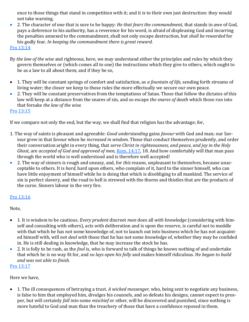ence to those things that stand in competition with it; and it is to their own just destruction: they would not take warning.

- 2. The character of one that is sure to be happy: *He that fears the commandment,* that stands in awe of God, pays a deference to his authority, has a reverence for his word, is afraid of displeasing God and incurring the penalties annexed to the commandment, shall not only escape destruction, but *shall be rewarded* for his godly fear. *In keeping the commandment there is great reward.* [Pro 13:14](https://www.blueletterbible.org/kjv/proverbs/13/14/s_641014)
- By *the law of the wise* and righteous, here, we may understand either the principles and rules by which they govern themselves or (which comes all to one) the instructions which they give to others, which ought to be as a law to all about them; and if they be so,
- 1. They will be constant springs of comfort and satisfaction, as *a fountain of life,* sending forth streams of living water; the closer we keep to those rules the more effectually we secure our own peace.
- 2. They will be constant preservatives from the temptations of Satan. Those that follow the dictates of this law will keep at a distance from the snares of sin, and so escape *the snares of death* which those run into that forsake *the law of the wise[.](https://www.blueletterbible.org/kjv/proverbs/13/15/s_641015)*

#### [Pro 13:15](https://www.blueletterbible.org/kjv/proverbs/13/15/s_641015)

If we compare not only the end, but the way, we shall find that religion has the advantage; for,

- 1. The way of saints is pleasant and agreeable: *Good understanding* gains *favour* with God and man; our Saviour grew in that favour when he *increased in wisdom.* Those that conduct themselves prudently, and order their conversation aright in every thing, that *serve Christ in righteousness, and peace, and joy in the Holy Ghost,* are *accepted of God and approved of men,* [Rom. 14:17,](https://www.blueletterbible.org/kjv/romans/14/17/s_1060017) 18. And how comfortably will that man pass through the world who is well understood and is therefore well accepted!
- 2. The way of sinners is rough and uneasy, and, for *this* reason, unpleasant to themselves, because unacceptable to others. It is *hard,* hard upon others, who complain of it, hard to the sinner himself, who can have little enjoyment of himself while he is doing that which is disobliging to all mankind. The service of sin is perfect slavery, and the road to hell is strewed with the thorns and thistles that are the products of the curse. Sinners labour in the very fire.

#### [Pro 13:16](https://www.blueletterbible.org/kjv/proverbs/13/16/s_641016)

Note,

- 1. It is wisdom to be cautious. *Every prudent* discreet *man* does all *with knowledge* (considering with himself and consulting with others), acts with deliberation and is upon the reserve, is careful not to meddle with that which he has not some knowledge of, not to launch out into business which he has not acquainted himself with, will not *deal with* those that he has not some *knowledge* of, whether they may be confided in. He is still dealing in knowledge, that he may increase the stock he has.
- 2. It is folly to be rash, as the *fool* is, who is forward to talk of things he knows nothing of and undertake that which he is no way fit for, and so *lays open his folly* and makes himself ridiculous. He *began to build and was not able to finish[.](https://www.blueletterbible.org/kjv/proverbs/13/17/s_641017)*

[Pro 13:17](https://www.blueletterbible.org/kjv/proverbs/13/17/s_641017)

Here we have,

 1. The ill consequences of betraying a trust. *A wicked messenger,* who, being sent to negotiate any business, is false to him that employed him, divulges his counsels, and so defeats his designs, cannot expect to prosper, but will certainly *fall into* some *mischief* or other, will be discovered and punished, since nothing is more hateful to God and man than the treachery of those that have a confidence reposed in them.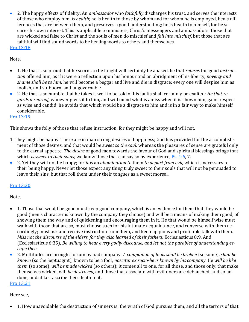2. The happy effects of fidelity: An *ambassador* who *faithfully* discharges his trust, and serves the interests of those who employ him, *is health;* he is health to those by whom and for whom he is employed, heals differences that are between them, and preserves a good understanding; he is health to himself, for he secures his own interest. This is applicable to ministers, Christ's messengers and ambassadors; those that are wicked and false to Christ and the souls of men do mischief and *fall into mischief,* but those that are faithful will find sound words to be healing words to others and themselves.

#### [Pro 13:18](https://www.blueletterbible.org/kjv/proverbs/13/18/s_641018)

Note,

- 1. He that is so proud that he scorns to be taught will certainly be abased. he that *refuses* the good *instruction* offered him, as if it were a reflection upon his honour and an abridgment of his liberty, *poverty and shame shall be to him:* he will become a beggar and live and die in disgrace; every one will despise him as foolish, and stubborn, and ungovernable.
- 2. He that is so humble that he takes it well to be told of his faults shall certainly be exalted: *He that regards a reproof,* whoever gives it to him, and will mend what is amiss when it is shown him, gains respect as wise and c[an](https://www.blueletterbible.org/kjv/proverbs/13/19/s_641019)did; he avoids that which would be a disgrace to him and is in a fair way to make himself considerable.

#### [Pro 13:19](https://www.blueletterbible.org/kjv/proverbs/13/19/s_641019)

This shows the folly of those that refuse instruction, for they might be happy and will not.

- 1. They might be happy. There are in man strong desires of happiness; God has provided for the accomplishment of those desires, and that would be *sweet to the soul,* whereas the pleasures of sense are grateful only to the carnal appetite. *The desire* of good men towards the favour of God and spiritual blessings brings that which *is sweet to their souls;* we know those that can say so by experience, [Ps. 4:6,](https://www.blueletterbible.org/kjv/psalms/4/6/s_482006) 7.
- 2. Yet they will not be happy; for *it is* an *abomination to* them *to depart from evil,* which is necessary to their being happy. Never let those expect any thing truly sweet to their souls that will not be persuaded to leave their sins, but that roll them under their tongues as a sweet morsel.

#### [Pro 13:20](https://www.blueletterbible.org/kjv/proverbs/13/20/s_641020)

Note,

- 1. Those that would be good must keep good company, which is an evidence for them that they would be good (men's character is known by the company they choose) and will be a means of making them good, of showing them the way and of quickening and encouraging them in it. He that would be himself wise must walk with those that are so, must choose such for his intimate acquaintance, and converse with them accordingly; must ask and receive instruction from them, and keep up pious and profitable talk with them. *Miss not the discourse of the elders, for they also learned of their fathers,* Ecclesiasticus 8:9. And (Ecclesiasticus 6:35), *Be willing to hear every godly discourse, and let not the parables of understanding escape thee.*
- 2. Multitudes are brought to ruin by bad company: *A companion of fools shall be broken* (so some), *shall be known* (so the Septuagint), known to be a fool; *noscitur ex socio-he is known by his company.* He *will be like them* (so some), *will be made wicked* (so others); it comes all to one, for all those, and those only, that make themselves wicked, will *be destroyed,* and those that associate with evil-doers are debauched, and so undone, and at last ascribe their death to it[.](https://www.blueletterbible.org/kjv/proverbs/13/21/s_641021)

#### [Pro 13:21](https://www.blueletterbible.org/kjv/proverbs/13/21/s_641021)

Here see,

1. How unavoidable the destruction of sinners is; the wrath of God pursues them, and all the terrors of that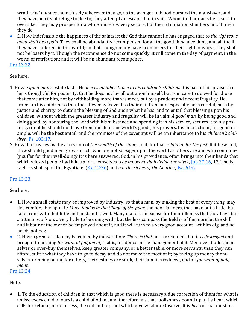wrath: *Evil pursues* them closely wherever they go, as the avenger of blood pursued the manslayer, and they have no city of refuge to flee to; they attempt an escape, but in vain. Whom God pursues he is sure to overtake. They may prosper for a while and grow very secure, but their damnation slumbers not, though they do.

 2. How indefeasible the happiness of the saints is; the God that cannot lie has engaged that *to the righteous good shall be repaid.* They shall be abundantly recompensed for all the good they have done, and all the ill they have suffered, in this world; so that, though many have been losers for their righteousness, they shall not be losers by it. Though the recompence do not come quickly, it will come in the day of payment, in the world of retribution; and it will be an abundant recompence.

#### [Pro 13:22](https://www.blueletterbible.org/kjv/proverbs/13/22/s_641022)

See here,

- 1. How *a good man's* estate lasts: He *leaves an inheritance to his children's children.* It is part of his praise that he is thoughtful for posterity, that he does not lay all out upon himself, but is in care to do well for those that come after him, not by withholding more than is meet, but by a prudent and decent frugality. He trains up his children to this, that they may leave it to their children; and especially he is careful, both by justice and charity, to obtain the blessing of God upon what he has, and to entail that blessing upon his children, without which the greatest industry and frugality will be in vain: *A good man,* by being good and doing good, by honouring the Lord with his substance and spending it in his service, secures it to his posterity; or, if he should not leave them much of this world's goods, his prayers, his instructions, his good example, will be the best entail, and the promises of the covenant will be an inheritance to his *children's children,* [Ps. 103:17.](https://www.blueletterbible.org/kjv/psalms/103/17/s_581017)
- 2. How it increases by the accession of *the wealth of the sinner* to it, for that *is laid up for the just.* If it be asked, How should good men grow so rich, who are not so eager upon the world as others are and who commonly suffer for their well-doing? It is here answered, God, in his providence, often brings into their hands that which wicked people had laid up for themselves. *The innocent shall divide the silver,* [Job 27:16,](https://www.blueletterbible.org/kjv/job/27/16/s_463016) 17. The Israelites shall spoil the Egyptians ([Ex. 12:36\)](https://www.blueletterbible.org/kjv/exodus/12/36/s_62036) and *eat the riches of the Gentiles,* [Isa. 61:6.](https://www.blueletterbible.org/kjv/isaiah/61/6/s_740006)

#### [Pro 13:23](https://www.blueletterbible.org/kjv/proverbs/13/23/s_641023)

See here,

- 1. How a small estate may be improved by industry, so that a man, by making the best of every thing, may live comfortably upon it: *Much food is in the tillage of the poor,* the poor farmers, that have but a little, but take pains with that little and husband it well. Many make it an excuse for their idleness that they have but a little to work on, a very little to be doing with; but the less compass the field is of the more let the skill and labour of the owner be employed about it, and it will turn to a very good account. Let him dig, and he needs not beg.
- 2. How a great estate may be ruined by indiscretion: *There is that* has a great deal, but it *is destroyed* and brought to nothing *for want of judgment,* that is, prudence in the management of it. Men over-build themselves or over-buy themselves, keep greater company, or a better table, or more servants, than they can afford, suffer what they have to go to decay and do not make the most of it; by taking up money themselves, or being bound for others, their estates are sunk, their families reduced, and all *for want of judgment.*

#### [Pro 13:24](https://www.blueletterbible.org/kjv/proverbs/13/24/s_641024)

Note,

 1. To the education of children in that which is good there is necessary a due correction of them for what is amiss; every child of ours is a child of Adam, and therefore has that foolishness bound up in its heart which calls for rebuke, more or less, the rod and reproof which give wisdom. Observe, It is *his* rod that must be